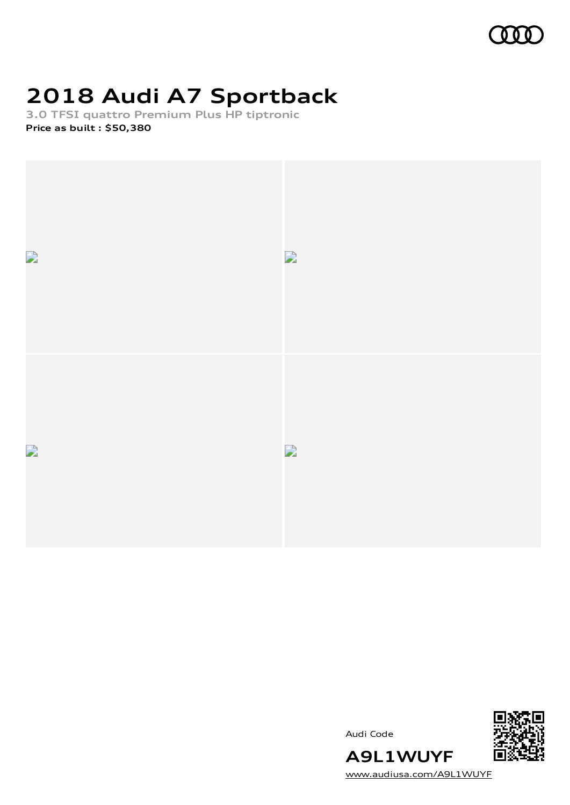

# **2018 Audi A7 Sportback**

**3.0 TFSI quattro Premium Plus HP tiptronic Price as built [:](#page-10-0) \$50,380**



Audi Code



[www.audiusa.com/A9L1WUYF](https://www.audiusa.com/A9L1WUYF)

**A9L1WUYF**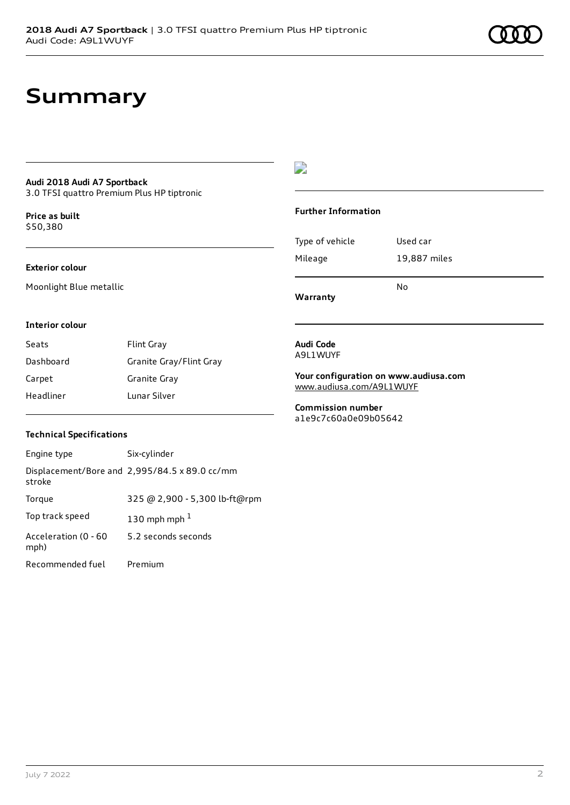## **Summary**

## **Audi 2018 Audi A7 Sportback**

3.0 TFSI quattro Premium Plus HP tiptronic

**Price as buil[t](#page-10-0)** \$50,380

### **Exterior colour**

Moonlight Blue metallic

## $\overline{\phantom{a}}$

### **Further Information**

| 19,887 miles |
|--------------|
| No           |
|              |

**Warranty**

### **Interior colour**

| Seats     | <b>Flint Gray</b>       |
|-----------|-------------------------|
| Dashboard | Granite Gray/Flint Gray |
| Carpet    | Granite Gray            |
| Headliner | Lunar Silver            |

### **Audi Code** A9L1WUYF

**Your configuration on www.audiusa.com** [www.audiusa.com/A9L1WUYF](https://www.audiusa.com/A9L1WUYF)

**Commission number** a1e9c7c60a0e09b05642

### **Technical Specifications**

| Engine type                  | Six-cylinder                                  |
|------------------------------|-----------------------------------------------|
| stroke                       | Displacement/Bore and 2,995/84.5 x 89.0 cc/mm |
| Torque                       | 325 @ 2,900 - 5,300 lb-ft@rpm                 |
| Top track speed              | 130 mph mph $1$                               |
| Acceleration (0 - 60<br>mph) | 5.2 seconds seconds                           |
| Recommended fuel             | Premium                                       |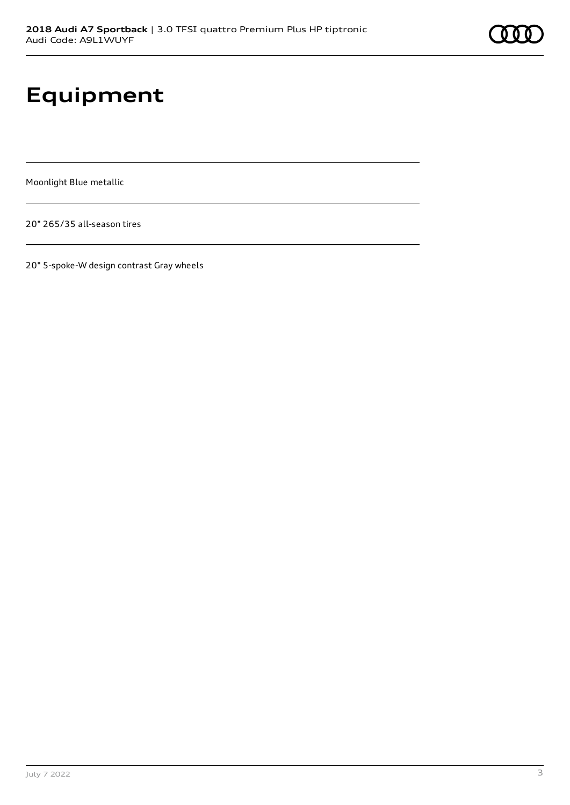# **Equipment**

Moonlight Blue metallic

20" 265/35 all-season tires

20" 5-spoke-W design contrast Gray wheels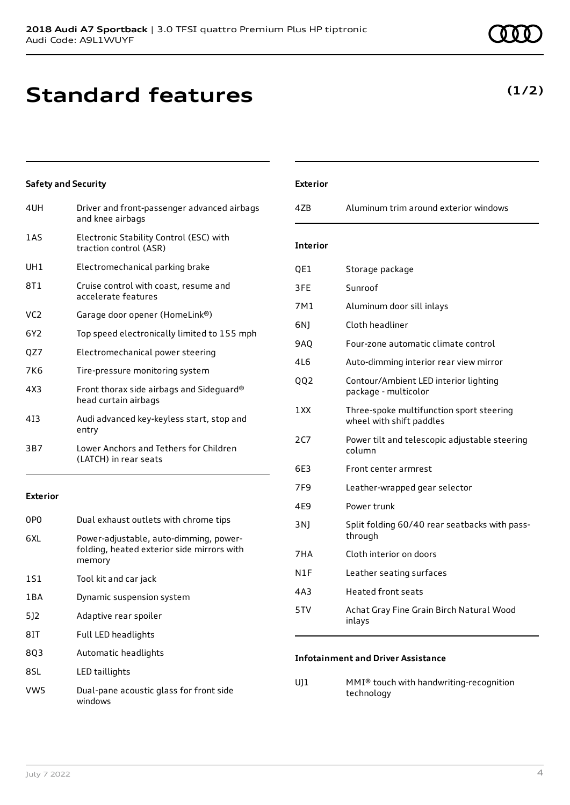## **Standard features**

| 4UH             | Driver and front-passenger advanced airbags<br>and knee airbags   |
|-----------------|-------------------------------------------------------------------|
| 1 A S           | Electronic Stability Control (ESC) with<br>traction control (ASR) |
| UH <sub>1</sub> | Electromechanical parking brake                                   |
| 8T1             | Cruise control with coast, resume and<br>accelerate features      |
| VC <sub>2</sub> | Garage door opener (HomeLink®)                                    |
| 6Y <sub>2</sub> | Top speed electronically limited to 155 mph                       |
| QZ7             | Electromechanical power steering                                  |
| <b>7K6</b>      | Tire-pressure monitoring system                                   |
| 4X3             | Front thorax side airbags and Sideguard®<br>head curtain airbags  |
| 413             | Audi advanced key-keyless start, stop and<br>entry                |
| 3B7             | Lower Anchors and Tethers for Children<br>(LATCH) in rear seats   |

### **Exterior**

**Safety and Security**

| 0PO   | Dual exhaust outlets with chrome tips                                                          |
|-------|------------------------------------------------------------------------------------------------|
| 6XI.  | Power-adjustable, auto-dimming, power-<br>folding, heated exterior side mirrors with<br>memory |
| 1S1   | Tool kit and car jack                                                                          |
| 1 B A | Dynamic suspension system                                                                      |
| 512   | Adaptive rear spoiler                                                                          |
| 81T   | Full LED headlights                                                                            |
| 803   | Automatic headlights                                                                           |
| 8SL   | LED taillights                                                                                 |
| VW5   | Dual-pane acoustic glass for front side<br>windows                                             |

| <b>Exterior</b> |                                                                      |
|-----------------|----------------------------------------------------------------------|
| 4ZB             | Aluminum trim around exterior windows                                |
| <b>Interior</b> |                                                                      |
| QE1             | Storage package                                                      |
| 3FF             | Sunroof                                                              |
| 7M1             | Aluminum door sill inlays                                            |
| 6N1             | Cloth headliner                                                      |
| 9AO             | Four-zone automatic climate control                                  |
| 4L6             | Auto-dimming interior rear view mirror                               |
| 002             | Contour/Ambient LED interior lighting<br>package - multicolor        |
| 1 XX            | Three-spoke multifunction sport steering<br>wheel with shift paddles |
| 2C7             | Power tilt and telescopic adjustable steering<br>column              |
| 6E3             | Front center armrest                                                 |
| 7F9             | Leather-wrapped gear selector                                        |
| 4E9             | Power trunk                                                          |
| 3 N J           | Split folding 60/40 rear seatbacks with pass-<br>through             |
| 7HA             | Cloth interior on doors                                              |
| N1F             | Leather seating surfaces                                             |
| 4A3             | Heated front seats                                                   |
| 5TV             | Achat Gray Fine Grain Birch Natural Wood<br>inlays                   |

## **Infotainment and Driver Assistance**

UJ1 MMI® touch with handwriting-recognition technology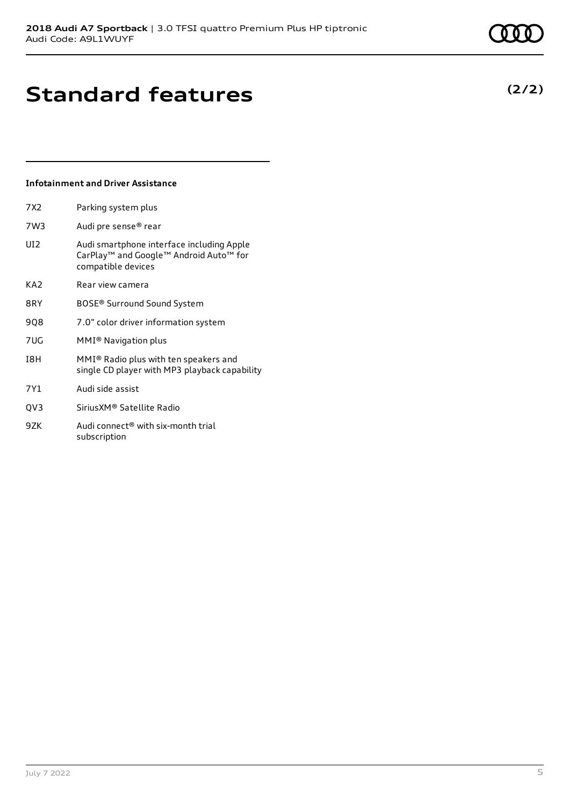## **Infotainment and Driver Assistance**

| 7X2             | Parking system plus                                                                                                   |
|-----------------|-----------------------------------------------------------------------------------------------------------------------|
| 7W3             | Audi pre sense® rear                                                                                                  |
| UI <sub>2</sub> | Audi smartphone interface including Apple<br>CarPlay <sup>™</sup> and Google™ Android Auto™ for<br>compatible devices |
| KA2             | Rear view camera                                                                                                      |
| 8RY             | BOSE® Surround Sound System                                                                                           |
| 908             | 7.0" color driver information system                                                                                  |
| 7UG             | MMI <sup>®</sup> Navigation plus                                                                                      |
| I8H             | MMI® Radio plus with ten speakers and<br>single CD player with MP3 playback capability                                |
| 7Y1             | Audi side assist                                                                                                      |
| OV <sub>3</sub> | SiriusXM® Satellite Radio                                                                                             |
|                 |                                                                                                                       |

9ZK Audi connect<sup>®</sup> with six-month trial subscription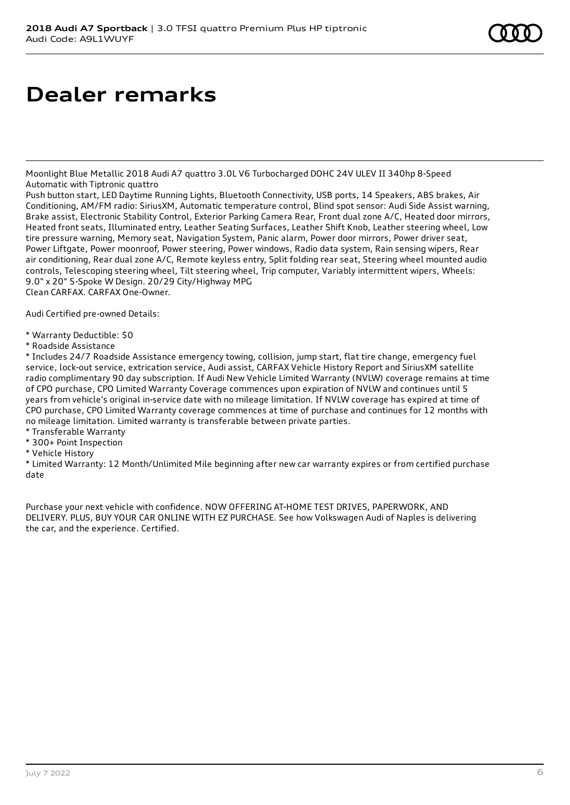## **Dealer remarks**

Moonlight Blue Metallic 2018 Audi A7 quattro 3.0L V6 Turbocharged DOHC 24V ULEV II 340hp 8-Speed Automatic with Tiptronic quattro

Push button start, LED Daytime Running Lights, Bluetooth Connectivity, USB ports, 14 Speakers, ABS brakes, Air Conditioning, AM/FM radio: SiriusXM, Automatic temperature control, Blind spot sensor: Audi Side Assist warning, Brake assist, Electronic Stability Control, Exterior Parking Camera Rear, Front dual zone A/C, Heated door mirrors, Heated front seats, Illuminated entry, Leather Seating Surfaces, Leather Shift Knob, Leather steering wheel, Low tire pressure warning, Memory seat, Navigation System, Panic alarm, Power door mirrors, Power driver seat, Power Liftgate, Power moonroof, Power steering, Power windows, Radio data system, Rain sensing wipers, Rear air conditioning, Rear dual zone A/C, Remote keyless entry, Split folding rear seat, Steering wheel mounted audio controls, Telescoping steering wheel, Tilt steering wheel, Trip computer, Variably intermittent wipers, Wheels: 9.0" x 20" 5-Spoke W Design. 20/29 City/Highway MPG Clean CARFAX. CARFAX One-Owner.

Audi Certified pre-owned Details:

- \* Warranty Deductible: \$0
- \* Roadside Assistance

\* Includes 24/7 Roadside Assistance emergency towing, collision, jump start, flat tire change, emergency fuel service, lock-out service, extrication service, Audi assist, CARFAX Vehicle History Report and SiriusXM satellite radio complimentary 90 day subscription. If Audi New Vehicle Limited Warranty (NVLW) coverage remains at time of CPO purchase, CPO Limited Warranty Coverage commences upon expiration of NVLW and continues until 5 years from vehicle's original in-service date with no mileage limitation. If NVLW coverage has expired at time of CPO purchase, CPO Limited Warranty coverage commences at time of purchase and continues for 12 months with no mileage limitation. Limited warranty is transferable between private parties.

- \* Transferable Warranty
- \* 300+ Point Inspection
- \* Vehicle History

\* Limited Warranty: 12 Month/Unlimited Mile beginning after new car warranty expires or from certified purchase date

Purchase your next vehicle with confidence. NOW OFFERING AT-HOME TEST DRIVES, PAPERWORK, AND DELIVERY. PLUS, BUY YOUR CAR ONLINE WITH EZ PURCHASE. See how Volkswagen Audi of Naples is delivering the car, and the experience. Certified.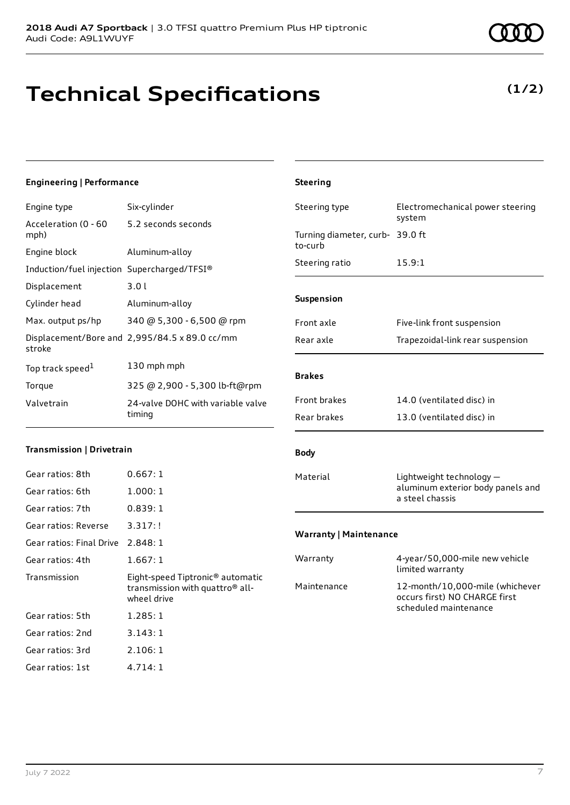## **Technical Specifications**

## **Engineering | Performance**

| Engine type                                 | Six-cylinder                                  |
|---------------------------------------------|-----------------------------------------------|
| Acceleration (0 - 60<br>mph)                | 5.2 seconds seconds                           |
| Engine block                                | Aluminum-alloy                                |
| Induction/fuel injection Supercharged/TFSI® |                                               |
| Displacement                                | 3.0l                                          |
| Cylinder head                               | Aluminum-alloy                                |
| Max. output ps/hp                           | 340 @ 5,300 - 6,500 @ rpm                     |
| stroke                                      | Displacement/Bore and 2,995/84.5 x 89.0 cc/mm |
| Top track speed <sup>1</sup>                | 130 mph mph                                   |
| Torque                                      | 325 @ 2,900 - 5,300 lb-ft@rpm                 |
| Valvetrain                                  | 24-valve DOHC with variable valve<br>timing   |

### **Transmission | Drivetrain**

| Gear ratios: 8th                  | 0.667:1                                                                                                    |
|-----------------------------------|------------------------------------------------------------------------------------------------------------|
| Gear ratios: 6th                  | 1.000:1                                                                                                    |
| Gear ratios: 7th                  | 0.839:1                                                                                                    |
| Gear ratios: Reverse              | 3.317:!                                                                                                    |
| Gear ratios: Final Drive 2.848: 1 |                                                                                                            |
| Gear ratios: 4th                  | 1.667:1                                                                                                    |
|                                   |                                                                                                            |
| Transmission                      | Eight-speed Tiptronic <sup>®</sup> automatic<br>transmission with quattro <sup>®</sup> all-<br>wheel drive |
| Gear ratios: 5th                  | 1.285:1                                                                                                    |
| Gear ratios: 2nd                  | 3.143:1                                                                                                    |
| Gear ratios: 3rd                  | 2.106:1                                                                                                    |

## **Steering** Steering type Electromechanical power steering system Turning diameter, curb-39.0 ft to-curb Steering ratio 15.9:1 **Suspension** Front axle Five-link front suspension Rear axle Trapezoidal-link rear suspension **Brakes** Front brakes 14.0 (ventilated disc) in Rear brakes 13.0 (ventilated disc) in **Body** Material **Lightweight technology** aluminum exterior body panels and a steel chassis **Warranty | Maintenance** Warranty 4-year/50,000-mile new vehicle limited warranty

| Maintenance           | limited warranty                                                 |
|-----------------------|------------------------------------------------------------------|
| scheduled maintenance | 12-month/10,000-mile (whichever<br>occurs first) NO CHARGE first |

**(1/2)**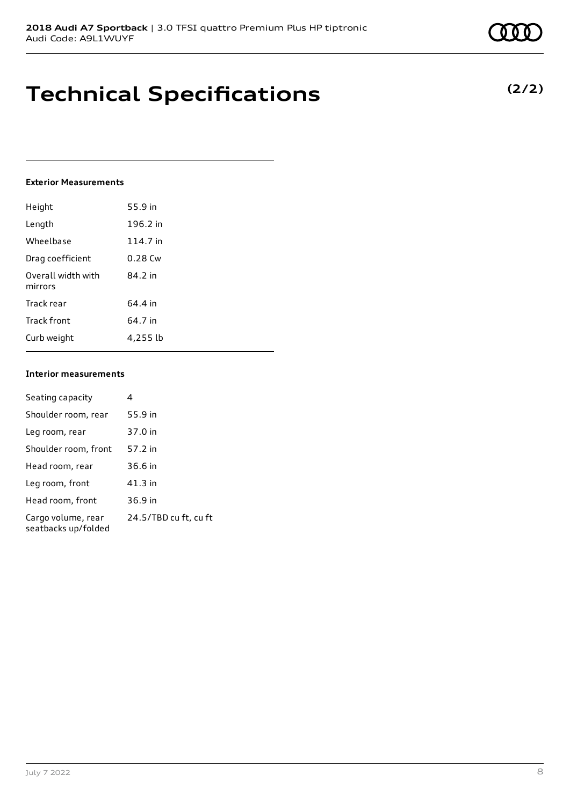## **Technical Specifications**

### **Exterior Measurements**

| Height                        | 55.9 in   |
|-------------------------------|-----------|
| Length                        | 196.2 in  |
| Wheelbase                     | 114.7 in  |
| Drag coefficient              | $0.28$ Cw |
| Overall width with<br>mirrors | 84.2 in   |
| Track rear                    | 64.4 in   |
| Track front                   | 64.7 in   |
| Curb weight                   | 4,255 lb  |

### **Interior measurements**

| Seating capacity                          | 4                     |
|-------------------------------------------|-----------------------|
| Shoulder room, rear                       | 55.9 in               |
| Leg room, rear                            | 37.0 in               |
| Shoulder room, front                      | 57.2 in               |
| Head room, rear                           | 36.6 in               |
| Leg room, front                           | 41.3 in               |
| Head room, front                          | 36.9 in               |
| Cargo volume, rear<br>seatbacks up/folded | 24.5/TBD cu ft, cu ft |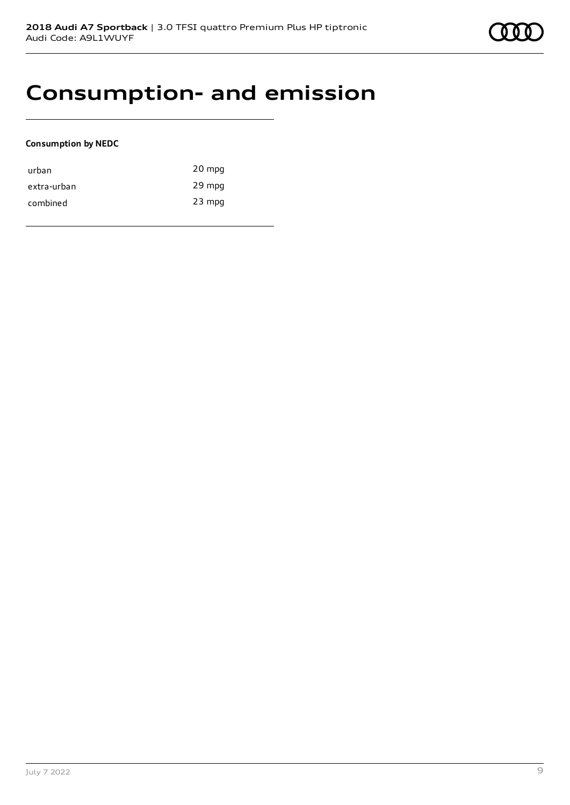## **Consumption- and emission**

### **Consumption by NEDC**

| urban       | 20 mpg   |
|-------------|----------|
| extra-urban | 29 mpg   |
| combined    | $23$ mpg |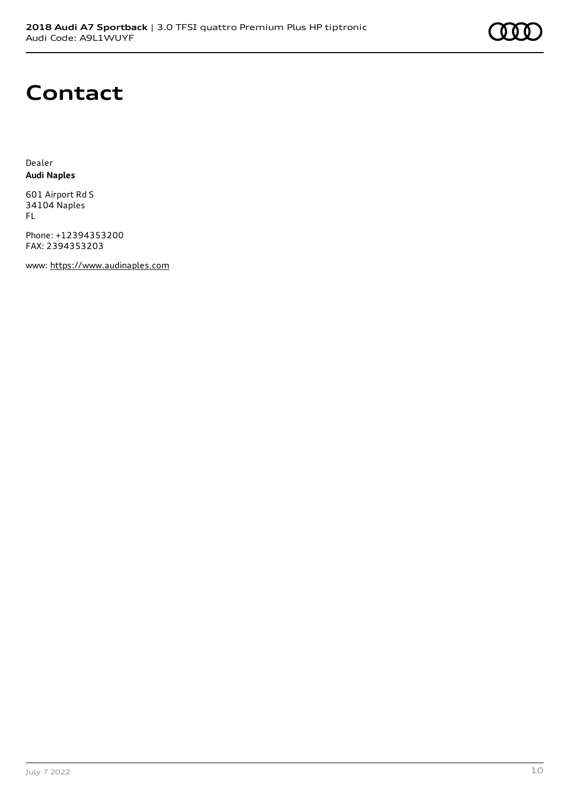## **Contact**

Dealer **Audi Naples**

601 Airport Rd S 34104 Naples FL

Phone: +12394353200 FAX: 2394353203

www: [https://www.audinaples.com](https://www.audinaples.com/)